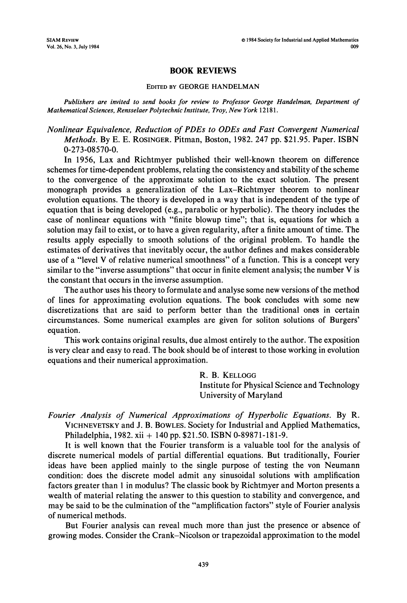## BOOK REVIEWS

## EDITED BY GEORGE HANDELMAN

Publishers are invited to send books for review to Professor George Handelman, Department of Mathematical Sciences, Rensselaer Polytechnic Institute, Troy, New York 12181.

Nonlinear Equivalence, Reduction of PDEs to ODEs and Fast Convergent Numerical Methods. By E. E. ROSINGER. Pitman, Boston, 1982. 247 pp. \$21.95. Paper. ISBN 0-273-08570-0.

In 1956, Lax and Richtmyer published their well-known theorem on difference schemes for time-dependent problems, relating the consistency and stability of the scheme to the convergence of the approximate solution to the exact solution. The present monograph provides a generalization of the Lax-Richtmyer theorem to nonlinear evolution equations. The theory is developed in a way that is independent of the type of equation that is being developed (e.g., parabolic or hyperbolic). The theory includes the case of nonlinear equations with "finite blowup time"; that is, equations for which a solution may fail to exist, or to have a given regularity, after a finite amount of time. The results apply especially to smooth solutions of the original problem. To handle the estimates of derivatives that inevitably occur, the author defines and makes considerable use of <sup>a</sup> "level V of relative numerical smoothness" of <sup>a</sup> function. This is <sup>a</sup> concept very similar to the "inverse assumptions" that occur in finite element analysis; the number V is the constant that occurs in the inverse assumption.

The author uses his theory to formulate and analyse some new versions of the method of lines for approximating evolution equations. The book concludes with some new discretizations that are said to perform better than the traditional ones in certain circumstances. Some numerical examples are given for soliton solutions of Burgers' equation.

This work contains original results, due almost entirely to the author. The exposition is very clear and easy to read. The book should be of interest to those working in evolution equations and their numerical approximation.

> R. B. KELLOGG Institute for Physical Science and Technology University of Maryland

Fourier Analysis of Numerical Approximations of Hyperbolic Equations. By R. VICHNEVETSKY and J. B. BOWLES. Society for Industrial and Applied Mathematics, Philadelphia, 1982. xii + <sup>140</sup> pp. \$21.50. ISBN 0-89871-181-9.

It is well known that the Fourier transform is a valuable tool for the analysis of discrete numerical models of partial differential equations. But traditionally, Fourier ideas have been applied mainly to the single purpose of testing the von Neumann condition: does the discrete model admit any sinusoidal solutions with amplification factors greater than 1 in modulus? The classic book by Richtmyer and Morton presents a wealth of material relating the answer to this question to stability and convergence, and may be said to be the culmination of the "amplification factors" style of Fourier analysis of numerical methods.

But Fourier analysis can reveal much more than just the presence or absence of growing modes. Consider the Crank-Nicolson or trapezoidal approximation to the model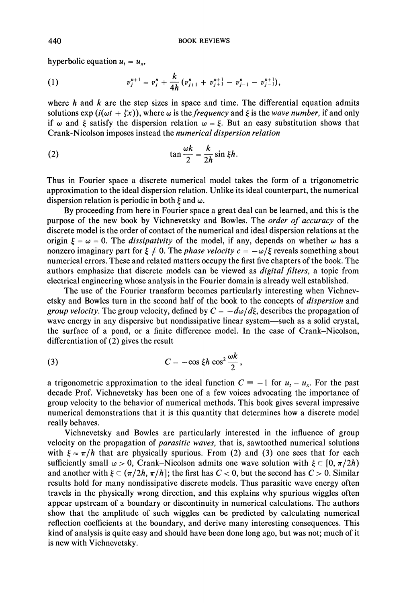hyperbolic equation  $u_t = u_x$ ,

(1) 
$$
v_j^{n+1} = v_j^n + \frac{k}{4h} (v_{j+1}^n + v_{j+1}^{n+1} - v_{j-1}^n - v_{j-1}^{n+1}),
$$

where  $h$  and  $k$  are the step sizes in space and time. The differential equation admits solutions exp  $(i(\omega t + \zeta x))$ , where  $\omega$  is the *frequency* and  $\xi$  is the *wave number*, if and only if  $\omega$  and  $\xi$  satisfy the dispersion relation  $\omega = \xi$ . But an easy substitution shows that Crank-Nicolson imposes instead the numerical dispersion relation

(2) 
$$
\tan \frac{\omega k}{2} = \frac{k}{2h} \sin \xi h.
$$

Thus in Fourier space a discrete numerical model takes the form of a trigonometric approximation to the ideal dispersion relation. Unlike its ideal counterpart, the numerical dispersion relation is periodic in both  $\xi$  and  $\omega$ .

By proceeding from here in Fourier space a great deal can be learned, and this is the purpose of the new book by Vichnevetsky and Bowles. The order of accuracy of the discrete model is the order of contact of the numerical and ideal dispersion relations at the origin  $\xi = \omega = 0$ . The *dissipativity* of the model, if any, depends on whether  $\omega$  has a nonzero imaginary part for  $\xi \neq 0$ . The *phase velocity c* =  $-\omega/\xi$  reveals something about numerical errors. These and related matters occupy the first five chapters of the book. The authors emphasize that discrete models can be viewed as digital filters, a topic from electrical engineering whose analysis in the Fourier domain is already well established.

The use of the Fourier transform becomes particularly interesting when Vichnevetsky and Bowles turn in the second half of the book to the concepts of dispersion and group velocity. The group velocity, defined by  $C = -\frac{d\omega}{d\xi}$ , describes the propagation of wave energy in any dispersive but nondissipative linear system—such as a solid crystal, the surface of a pond, or a finite difference model. In the case of Crank-Nicolson, differentiation of (2) gives the result

(3) 
$$
C = -\cos \xi h \cos^2 \frac{\omega k}{2},
$$

a trigonometric approximation to the ideal function  $C = -1$  for  $u_t = u_x$ . For the past decade Prof. Vichnevetsky has been one of a few voices advocating the importance of group velocity to the behavior of numerical methods. This book gives several impressive numerical demonstrations that it is this quantity that determines how a discrete model really behaves.

Vichnevetsky and Bowles are particularly interested in the influence of group velocity on the propagation of *parasitic waves*, that is, sawtoothed numerical solutions with  $\xi \approx \pi/h$  that are physically spurious. From (2) and (3) one sees that for each sufficiently small  $\omega > 0$ , Crank-Nicolson admits one wave solution with  $\xi \in [0, \pi/2h)$ and another with  $\xi \in (\pi/2h, \pi/h]$ ; the first has  $C < 0$ , but the second has  $C > 0$ . Similar results hold for many nondissipative discrete models. Thus parasitic wave energy often travels in the physically wrong direction, and this explains why spurious wiggles often appear upstream of a boundary or discontinuity in numerical calculations. The authors show that the amplitude of such wiggles can be predicted by calculating numerical reflection coefficients at the boundary, and derive many interesting consequences. This kind of analysis is quite easy and should have been done long ago, but was not; much of it is new with Vichnevetsky.